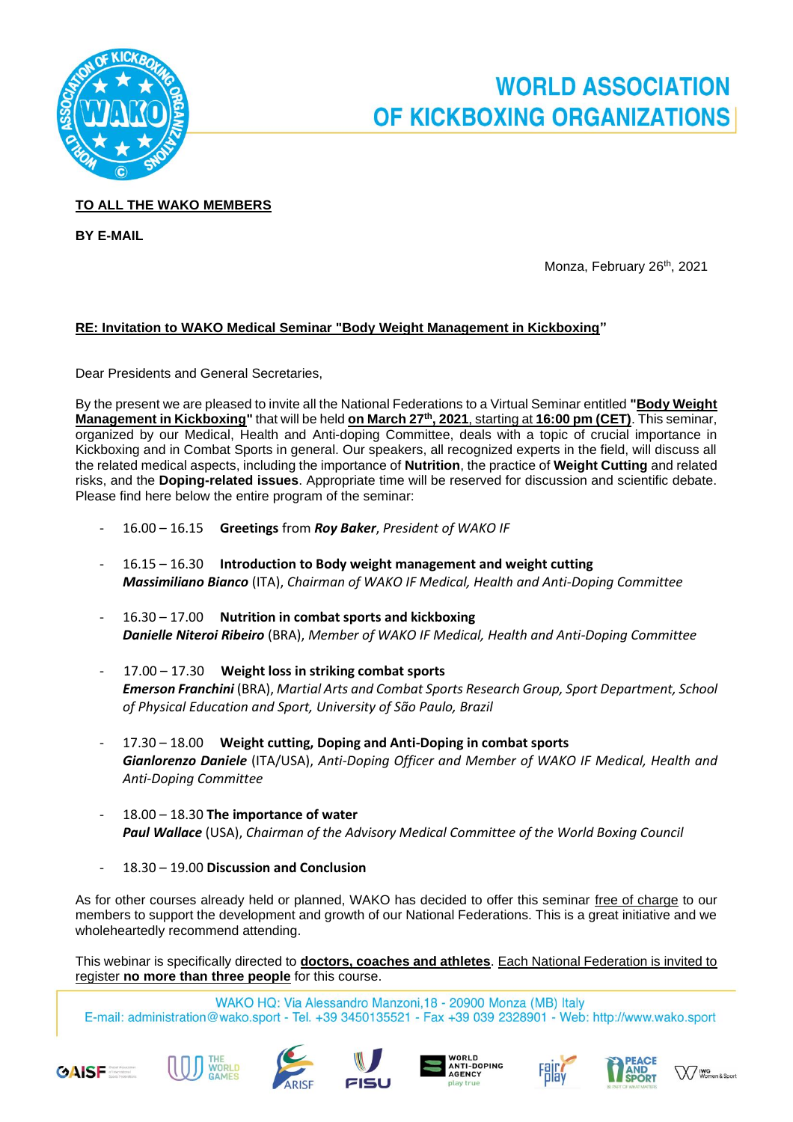

## **WORLD ASSOCIATION** OF KICKBOXING ORGANIZATIONS

## **TO ALL THE WAKO MEMBERS**

**BY E-MAIL**

Monza, February 26 th, 2021

## **RE: Invitation to WAKO Medical Seminar "Body Weight Management in Kickboxing"**

Dear Presidents and General Secretaries,

By the present we are pleased to invite all the National Federations to a Virtual Seminar entitled **"Body Weight Management in Kickboxing"** that will be held **on March 27th, 2021**, starting at **16:00 pm (CET)**. This seminar, organized by our Medical, Health and Anti-doping Committee, deals with a topic of crucial importance in Kickboxing and in Combat Sports in general. Our speakers, all recognized experts in the field, will discuss all the related medical aspects, including the importance of **Nutrition**, the practice of **Weight Cutting** and related risks, and the **Doping-related issues**. Appropriate time will be reserved for discussion and scientific debate. Please find here below the entire program of the seminar:

- 16.00 16.15 **Greetings** from *Roy Baker*, *President of WAKO IF*
- 16.15 16.30 **Introduction to Body weight management and weight cutting** *Massimiliano Bianco* (ITA), *Chairman of WAKO IF Medical, Health and Anti-Doping Committee*
- 16.30 17.00 **Nutrition in combat sports and kickboxing** *Danielle Niteroi Ribeiro* (BRA), *Member of WAKO IF Medical, Health and Anti-Doping Committee*
- 17.00 17.30 **Weight loss in striking combat sports** *Emerson Franchini* (BRA), *Martial Arts and Combat Sports Research Group, Sport Department, School of Physical Education and Sport, University of São Paulo, Brazil*
- 17.30 18.00 **Weight cutting, Doping and Anti-Doping in combat sports** *Gianlorenzo Daniele* (ITA/USA), *Anti-Doping Officer and Member of WAKO IF Medical, Health and Anti-Doping Committee*
- 18.00 18.30 **The importance of water** *Paul Wallace* (USA), *Chairman of the Advisory Medical Committee of the World Boxing Council*
- 18.30 19.00 **Discussion and Conclusion**

As for other courses already held or planned, WAKO has decided to offer this seminar free of charge to our members to support the development and growth of our National Federations. This is a great initiative and we wholeheartedly recommend attending.

This webinar is specifically directed to **doctors, coaches and athletes**. Each National Federation is invited to register **no more than three people** for this course.

WAKO HQ: Via Alessandro Manzoni, 18 - 20900 Monza (MB) Italy E-mail: administration@wako.sport - Tel. +39 3450135521 - Fax +39 039 2328901 - Web: http://www.wako.sport